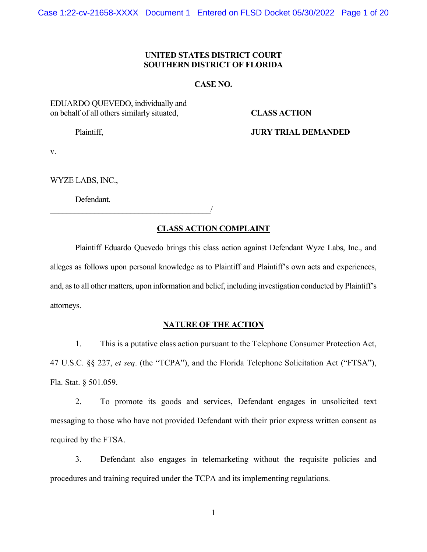# **UNITED STATES DISTRICT COURT SOUTHERN DISTRICT OF FLORIDA**

## **CASE NO.**

# EDUARDO QUEVEDO, individually and on behalf of all others similarly situated, **CLASS ACTION**

Plaintiff, **JURY TRIAL DEMANDED** 

v.

WYZE LABS, INC.,

Defendant.

 $\overline{\phantom{a}}$ 

## **CLASS ACTION COMPLAINT**

Plaintiff Eduardo Quevedo brings this class action against Defendant Wyze Labs, Inc., and alleges as follows upon personal knowledge as to Plaintiff and Plaintiff's own acts and experiences, and, as to all other matters, upon information and belief, including investigation conducted by Plaintiff's attorneys.

## **NATURE OF THE ACTION**

1. This is a putative class action pursuant to the Telephone Consumer Protection Act, 47 U.S.C. §§ 227, *et seq*. (the "TCPA"), and the Florida Telephone Solicitation Act ("FTSA"), Fla. Stat. § 501.059.

2. To promote its goods and services, Defendant engages in unsolicited text messaging to those who have not provided Defendant with their prior express written consent as required by the FTSA.

3. Defendant also engages in telemarketing without the requisite policies and procedures and training required under the TCPA and its implementing regulations.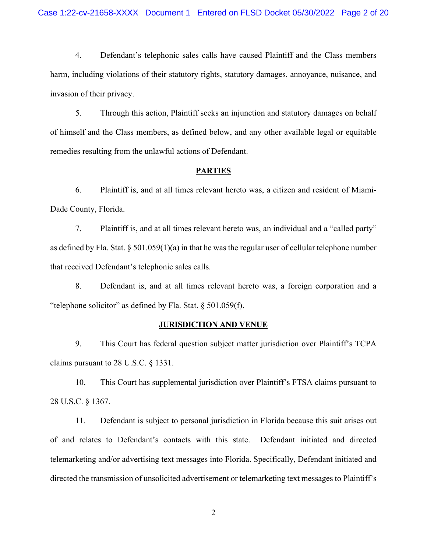4. Defendant's telephonic sales calls have caused Plaintiff and the Class members harm, including violations of their statutory rights, statutory damages, annoyance, nuisance, and invasion of their privacy.

5. Through this action, Plaintiff seeks an injunction and statutory damages on behalf of himself and the Class members, as defined below, and any other available legal or equitable remedies resulting from the unlawful actions of Defendant.

#### **PARTIES**

6. Plaintiff is, and at all times relevant hereto was, a citizen and resident of Miami-Dade County, Florida.

7. Plaintiff is, and at all times relevant hereto was, an individual and a "called party" as defined by Fla. Stat.  $\S 501.059(1)(a)$  in that he was the regular user of cellular telephone number that received Defendant's telephonic sales calls.

8. Defendant is, and at all times relevant hereto was, a foreign corporation and a "telephone solicitor" as defined by Fla. Stat. § 501.059(f).

## **JURISDICTION AND VENUE**

9. This Court has federal question subject matter jurisdiction over Plaintiff's TCPA claims pursuant to 28 U.S.C. § 1331.

10. This Court has supplemental jurisdiction over Plaintiff's FTSA claims pursuant to 28 U.S.C. § 1367.

11. Defendant is subject to personal jurisdiction in Florida because this suit arises out of and relates to Defendant's contacts with this state. Defendant initiated and directed telemarketing and/or advertising text messages into Florida. Specifically, Defendant initiated and directed the transmission of unsolicited advertisement or telemarketing text messages to Plaintiff's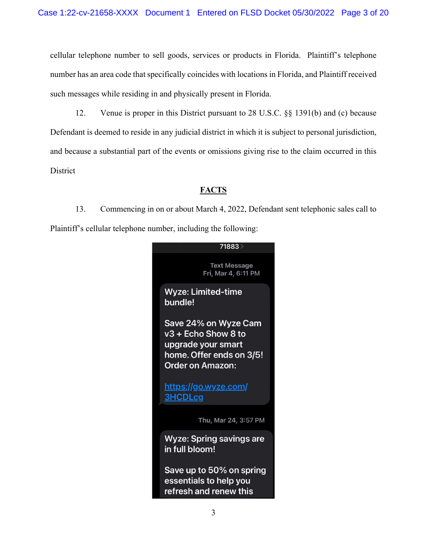cellular telephone number to sell goods, services or products in Florida. Plaintiff's telephone number has an area code that specifically coincides with locations in Florida, and Plaintiff received such messages while residing in and physically present in Florida.

12. Venue is proper in this District pursuant to 28 U.S.C. §§ 1391(b) and (c) because Defendant is deemed to reside in any judicial district in which it is subject to personal jurisdiction, and because a substantial part of the events or omissions giving rise to the claim occurred in this **District** 

# **FACTS**

13. Commencing in on or about March 4, 2022, Defendant sent telephonic sales call to Plaintiff's cellular telephone number, including the following:

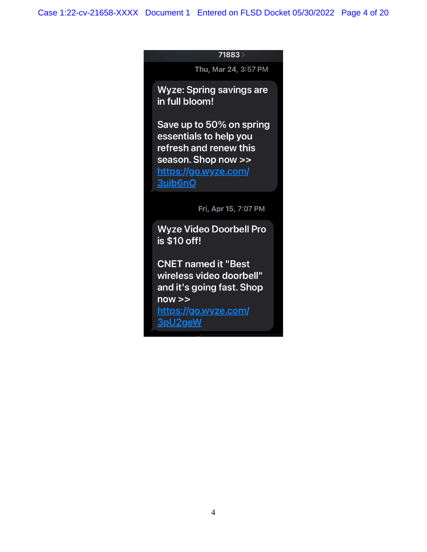## 71883 >

Thu, Mar 24, 3:57 PM

**Wyze: Spring savings are** in full bloom!

Save up to 50% on spring essentials to help you refresh and renew this season. Shop now >> https://go.wyze.com/ 3ujb6nO

Fri, Apr 15, 7:07 PM

**Wyze Video Doorbell Pro** is \$10 off!

**CNET named it "Best** wireless video doorbell" and it's going fast. Shop  $now \ge$ https://go.wyze.com/ 3pU2geW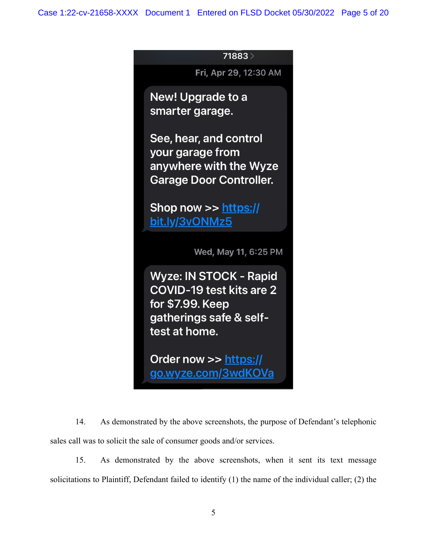# 71883

Fri, Apr 29, 12:30 AM

**New! Upgrade to a** smarter garage.

See, hear, and control your garage from anywhere with the Wyze **Garage Door Controller.** 

Shop now  $\gg$  https:// bit.ly/3vONMz5

Wed, May 11, 6:25 PM

**Wyze: IN STOCK - Rapid** COVID-19 test kits are 2 for \$7.99. Keep gatherings safe & selftest at home.

Order now >> https:// go.wyze.com/3wdKOVa

14. As demonstrated by the above screenshots, the purpose of Defendant's telephonic sales call was to solicit the sale of consumer goods and/or services.

15. As demonstrated by the above screenshots, when it sent its text message solicitations to Plaintiff, Defendant failed to identify (1) the name of the individual caller; (2) the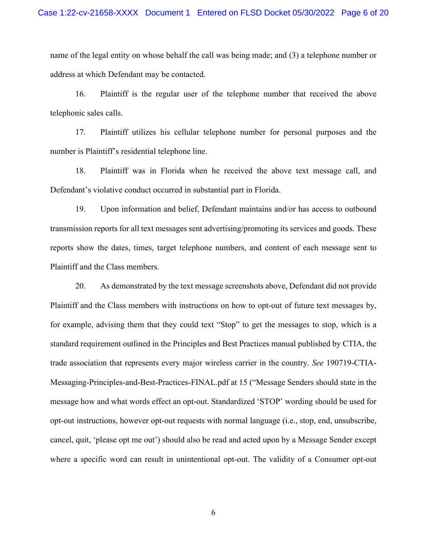#### Case 1:22-cv-21658-XXXX Document 1 Entered on FLSD Docket 05/30/2022 Page 6 of 20

name of the legal entity on whose behalf the call was being made; and (3) a telephone number or address at which Defendant may be contacted.

16. Plaintiff is the regular user of the telephone number that received the above telephonic sales calls.

17. Plaintiff utilizes his cellular telephone number for personal purposes and the number is Plaintiff's residential telephone line.

18. Plaintiff was in Florida when he received the above text message call, and Defendant's violative conduct occurred in substantial part in Florida.

19. Upon information and belief, Defendant maintains and/or has access to outbound transmission reports for all text messages sent advertising/promoting its services and goods. These reports show the dates, times, target telephone numbers, and content of each message sent to Plaintiff and the Class members.

20. As demonstrated by the text message screenshots above, Defendant did not provide Plaintiff and the Class members with instructions on how to opt-out of future text messages by, for example, advising them that they could text "Stop" to get the messages to stop, which is a standard requirement outlined in the Principles and Best Practices manual published by CTIA, the trade association that represents every major wireless carrier in the country. *See* 190719-CTIA-Messaging-Principles-and-Best-Practices-FINAL.pdf at 15 ("Message Senders should state in the message how and what words effect an opt-out. Standardized 'STOP' wording should be used for opt-out instructions, however opt-out requests with normal language (i.e., stop, end, unsubscribe, cancel, quit, 'please opt me out') should also be read and acted upon by a Message Sender except where a specific word can result in unintentional opt-out. The validity of a Consumer opt-out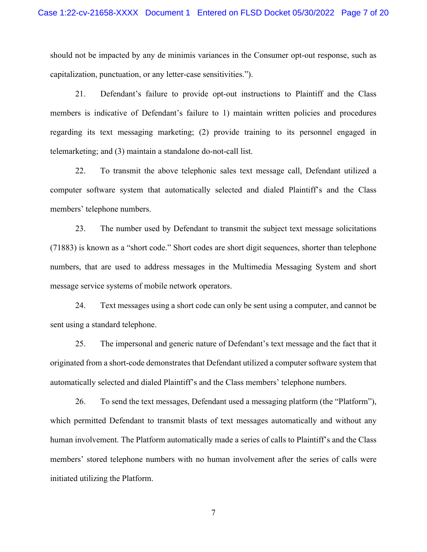should not be impacted by any de minimis variances in the Consumer opt-out response, such as capitalization, punctuation, or any letter-case sensitivities.").

21. Defendant's failure to provide opt-out instructions to Plaintiff and the Class members is indicative of Defendant's failure to 1) maintain written policies and procedures regarding its text messaging marketing; (2) provide training to its personnel engaged in telemarketing; and (3) maintain a standalone do-not-call list.

22. To transmit the above telephonic sales text message call, Defendant utilized a computer software system that automatically selected and dialed Plaintiff's and the Class members' telephone numbers.

23. The number used by Defendant to transmit the subject text message solicitations (71883) is known as a "short code." Short codes are short digit sequences, shorter than telephone numbers, that are used to address messages in the Multimedia Messaging System and short message service systems of mobile network operators.

24. Text messages using a short code can only be sent using a computer, and cannot be sent using a standard telephone.

25. The impersonal and generic nature of Defendant's text message and the fact that it originated from a short-code demonstrates that Defendant utilized a computer software system that automatically selected and dialed Plaintiff's and the Class members' telephone numbers.

26. To send the text messages, Defendant used a messaging platform (the "Platform"), which permitted Defendant to transmit blasts of text messages automatically and without any human involvement. The Platform automatically made a series of calls to Plaintiff's and the Class members' stored telephone numbers with no human involvement after the series of calls were initiated utilizing the Platform.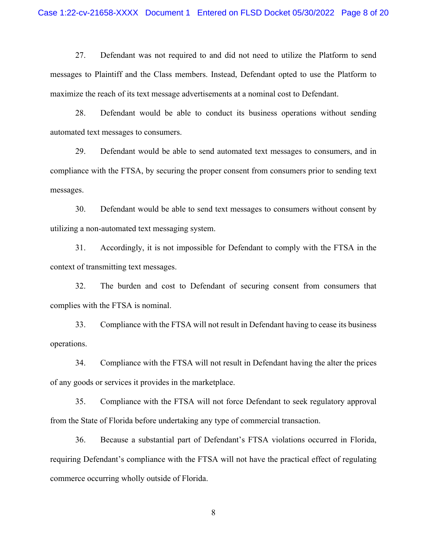27. Defendant was not required to and did not need to utilize the Platform to send messages to Plaintiff and the Class members. Instead, Defendant opted to use the Platform to maximize the reach of its text message advertisements at a nominal cost to Defendant.

28. Defendant would be able to conduct its business operations without sending automated text messages to consumers.

29. Defendant would be able to send automated text messages to consumers, and in compliance with the FTSA, by securing the proper consent from consumers prior to sending text messages.

30. Defendant would be able to send text messages to consumers without consent by utilizing a non-automated text messaging system.

31. Accordingly, it is not impossible for Defendant to comply with the FTSA in the context of transmitting text messages.

32. The burden and cost to Defendant of securing consent from consumers that complies with the FTSA is nominal.

33. Compliance with the FTSA will not result in Defendant having to cease its business operations.

34. Compliance with the FTSA will not result in Defendant having the alter the prices of any goods or services it provides in the marketplace.

35. Compliance with the FTSA will not force Defendant to seek regulatory approval from the State of Florida before undertaking any type of commercial transaction.

36. Because a substantial part of Defendant's FTSA violations occurred in Florida, requiring Defendant's compliance with the FTSA will not have the practical effect of regulating commerce occurring wholly outside of Florida.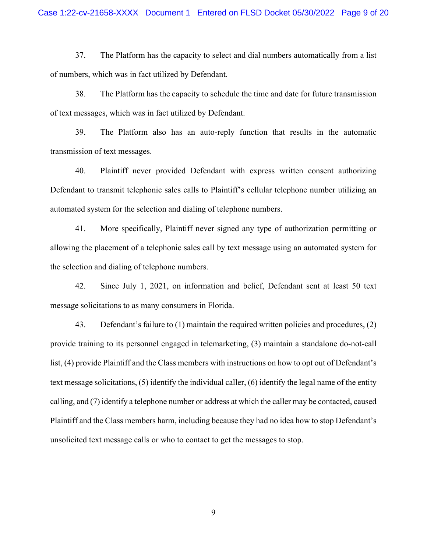37. The Platform has the capacity to select and dial numbers automatically from a list of numbers, which was in fact utilized by Defendant.

38. The Platform has the capacity to schedule the time and date for future transmission of text messages, which was in fact utilized by Defendant.

39. The Platform also has an auto-reply function that results in the automatic transmission of text messages.

40. Plaintiff never provided Defendant with express written consent authorizing Defendant to transmit telephonic sales calls to Plaintiff's cellular telephone number utilizing an automated system for the selection and dialing of telephone numbers.

41. More specifically, Plaintiff never signed any type of authorization permitting or allowing the placement of a telephonic sales call by text message using an automated system for the selection and dialing of telephone numbers.

42. Since July 1, 2021, on information and belief, Defendant sent at least 50 text message solicitations to as many consumers in Florida.

43. Defendant's failure to (1) maintain the required written policies and procedures, (2) provide training to its personnel engaged in telemarketing, (3) maintain a standalone do-not-call list, (4) provide Plaintiff and the Class members with instructions on how to opt out of Defendant's text message solicitations, (5) identify the individual caller, (6) identify the legal name of the entity calling, and (7) identify a telephone number or address at which the caller may be contacted, caused Plaintiff and the Class members harm, including because they had no idea how to stop Defendant's unsolicited text message calls or who to contact to get the messages to stop.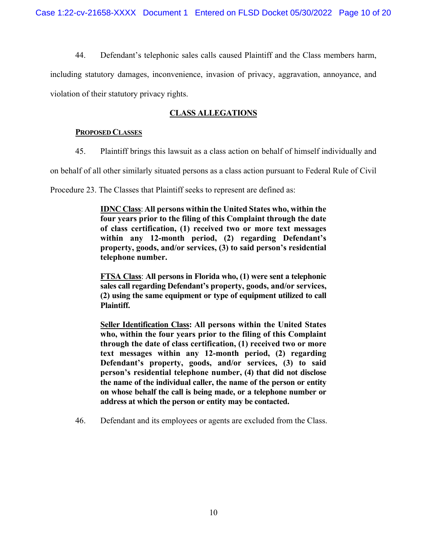44. Defendant's telephonic sales calls caused Plaintiff and the Class members harm,

including statutory damages, inconvenience, invasion of privacy, aggravation, annoyance, and violation of their statutory privacy rights.

# **CLASS ALLEGATIONS**

# **PROPOSED CLASSES**

45. Plaintiff brings this lawsuit as a class action on behalf of himself individually and

on behalf of all other similarly situated persons as a class action pursuant to Federal Rule of Civil

Procedure 23. The Classes that Plaintiff seeks to represent are defined as:

**IDNC Class**: **All persons within the United States who, within the four years prior to the filing of this Complaint through the date of class certification, (1) received two or more text messages within any 12-month period, (2) regarding Defendant's property, goods, and/or services, (3) to said person's residential telephone number.**

**FTSA Class**: **All persons in Florida who, (1) were sent a telephonic sales call regarding Defendant's property, goods, and/or services, (2) using the same equipment or type of equipment utilized to call Plaintiff.** 

**Seller Identification Class: All persons within the United States who, within the four years prior to the filing of this Complaint through the date of class certification, (1) received two or more text messages within any 12-month period, (2) regarding Defendant's property, goods, and/or services, (3) to said person's residential telephone number, (4) that did not disclose the name of the individual caller, the name of the person or entity on whose behalf the call is being made, or a telephone number or address at which the person or entity may be contacted.** 

46. Defendant and its employees or agents are excluded from the Class.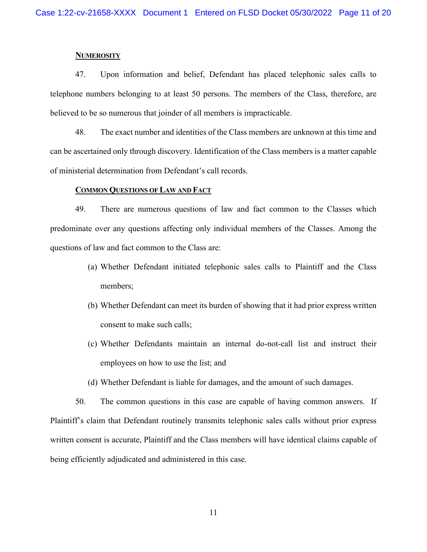#### **NUMEROSITY**

47. Upon information and belief, Defendant has placed telephonic sales calls to telephone numbers belonging to at least 50 persons. The members of the Class, therefore, are believed to be so numerous that joinder of all members is impracticable.

48. The exact number and identities of the Class members are unknown at this time and can be ascertained only through discovery. Identification of the Class members is a matter capable of ministerial determination from Defendant's call records.

#### **COMMON QUESTIONS OF LAW AND FACT**

49. There are numerous questions of law and fact common to the Classes which predominate over any questions affecting only individual members of the Classes. Among the questions of law and fact common to the Class are:

- (a) Whether Defendant initiated telephonic sales calls to Plaintiff and the Class members;
- (b) Whether Defendant can meet its burden of showing that it had prior express written consent to make such calls;
- (c) Whether Defendants maintain an internal do-not-call list and instruct their employees on how to use the list; and
- (d) Whether Defendant is liable for damages, and the amount of such damages.

50. The common questions in this case are capable of having common answers. If Plaintiff's claim that Defendant routinely transmits telephonic sales calls without prior express written consent is accurate, Plaintiff and the Class members will have identical claims capable of being efficiently adjudicated and administered in this case.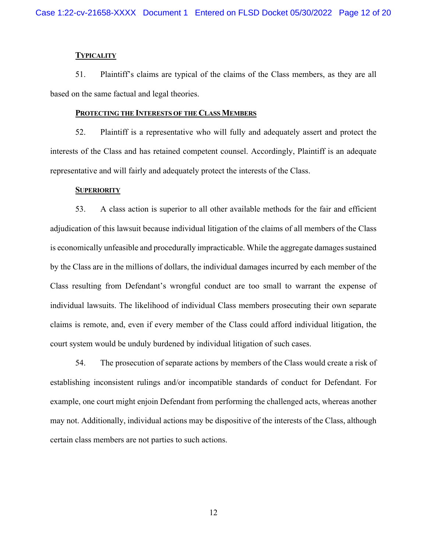#### **TYPICALITY**

51. Plaintiff's claims are typical of the claims of the Class members, as they are all based on the same factual and legal theories.

#### **PROTECTING THE INTERESTS OF THE CLASS MEMBERS**

52. Plaintiff is a representative who will fully and adequately assert and protect the interests of the Class and has retained competent counsel. Accordingly, Plaintiff is an adequate representative and will fairly and adequately protect the interests of the Class.

### **SUPERIORITY**

53. A class action is superior to all other available methods for the fair and efficient adjudication of this lawsuit because individual litigation of the claims of all members of the Class is economically unfeasible and procedurally impracticable. While the aggregate damages sustained by the Class are in the millions of dollars, the individual damages incurred by each member of the Class resulting from Defendant's wrongful conduct are too small to warrant the expense of individual lawsuits. The likelihood of individual Class members prosecuting their own separate claims is remote, and, even if every member of the Class could afford individual litigation, the court system would be unduly burdened by individual litigation of such cases.

54. The prosecution of separate actions by members of the Class would create a risk of establishing inconsistent rulings and/or incompatible standards of conduct for Defendant. For example, one court might enjoin Defendant from performing the challenged acts, whereas another may not. Additionally, individual actions may be dispositive of the interests of the Class, although certain class members are not parties to such actions.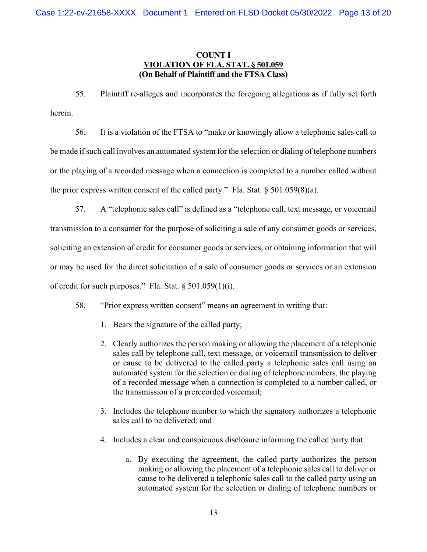# **COUNT I VIOLATION OF FLA. STAT. § 501.059 (On Behalf of Plaintiff and the FTSA Class)**

55. Plaintiff re-alleges and incorporates the foregoing allegations as if fully set forth herein.

56. It is a violation of the FTSA to "make or knowingly allow a telephonic sales call to be made if such call involves an automated system for the selection or dialing of telephone numbers or the playing of a recorded message when a connection is completed to a number called without the prior express written consent of the called party." Fla. Stat.  $\S 501.059(8)(a)$ .

57. A "telephonic sales call" is defined as a "telephone call, text message, or voicemail transmission to a consumer for the purpose of soliciting a sale of any consumer goods or services, soliciting an extension of credit for consumer goods or services, or obtaining information that will or may be used for the direct solicitation of a sale of consumer goods or services or an extension of credit for such purposes." Fla. Stat. § 501.059(1)(i).

- 58. "Prior express written consent" means an agreement in writing that:
	- 1. Bears the signature of the called party;
	- 2. Clearly authorizes the person making or allowing the placement of a telephonic sales call by telephone call, text message, or voicemail transmission to deliver or cause to be delivered to the called party a telephonic sales call using an automated system for the selection or dialing of telephone numbers, the playing of a recorded message when a connection is completed to a number called, or the transmission of a prerecorded voicemail;
	- 3. Includes the telephone number to which the signatory authorizes a telephonic sales call to be delivered; and
	- 4. Includes a clear and conspicuous disclosure informing the called party that:
		- a. By executing the agreement, the called party authorizes the person making or allowing the placement of a telephonic sales call to deliver or cause to be delivered a telephonic sales call to the called party using an automated system for the selection or dialing of telephone numbers or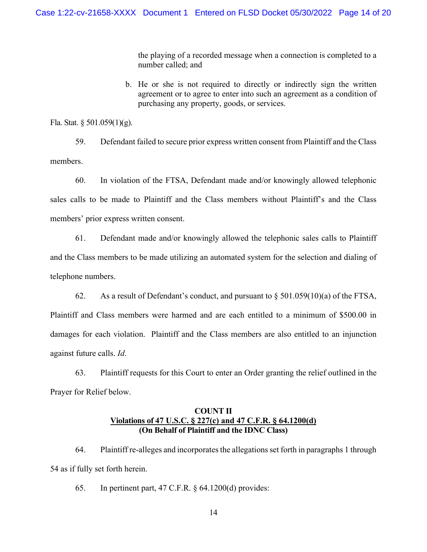the playing of a recorded message when a connection is completed to a number called; and

b. He or she is not required to directly or indirectly sign the written agreement or to agree to enter into such an agreement as a condition of purchasing any property, goods, or services.

Fla. Stat. § 501.059(1)(g).

59. Defendant failed to secure prior express written consent from Plaintiff and the Class members.

60. In violation of the FTSA, Defendant made and/or knowingly allowed telephonic sales calls to be made to Plaintiff and the Class members without Plaintiff's and the Class members' prior express written consent.

61. Defendant made and/or knowingly allowed the telephonic sales calls to Plaintiff and the Class members to be made utilizing an automated system for the selection and dialing of telephone numbers.

62. As a result of Defendant's conduct, and pursuant to  $\S 501.059(10)(a)$  of the FTSA, Plaintiff and Class members were harmed and are each entitled to a minimum of \$500.00 in damages for each violation. Plaintiff and the Class members are also entitled to an injunction against future calls. *Id*.

63. Plaintiff requests for this Court to enter an Order granting the relief outlined in the Prayer for Relief below.

# **COUNT II Violations of 47 U.S.C. § 227(c) and 47 C.F.R. § 64.1200(d) (On Behalf of Plaintiff and the IDNC Class)**

64. Plaintiff re-alleges and incorporates the allegations set forth in paragraphs 1 through 54 as if fully set forth herein.

65. In pertinent part, 47 C.F.R. § 64.1200(d) provides: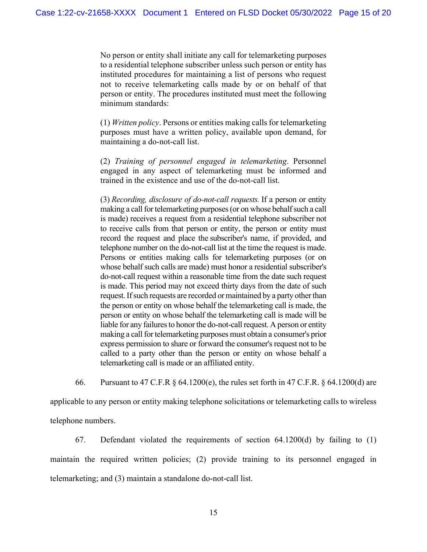No person or entity shall initiate any call for telemarketing purposes to a residential telephone subscriber unless such person or entity has instituted procedures for maintaining a list of persons who request not to receive telemarketing calls made by or on behalf of that person or entity. The procedures instituted must meet the following minimum standards:

(1) *Written policy*. Persons or entities making calls for telemarketing purposes must have a written policy, available upon demand, for maintaining a do-not-call list.

(2) *Training of personnel engaged in telemarketing*. Personnel engaged in any aspect of telemarketing must be informed and trained in the existence and use of the do-not-call list.

(3) *Recording, disclosure of do-not-call requests.* If a person or entity making a call for telemarketing purposes (or on whose behalf such a call is made) receives a request from a residential telephone subscriber not to receive calls from that person or entity, the person or entity must record the request and place the subscriber's name, if provided, and telephone number on the do-not-call list at the time the request is made. Persons or entities making calls for telemarketing purposes (or on whose behalf such calls are made) must honor a residential subscriber's do-not-call request within a reasonable time from the date such request is made. This period may not exceed thirty days from the date of such request. If such requests are recorded or maintained by a party other than the person or entity on whose behalf the telemarketing call is made, the person or entity on whose behalf the telemarketing call is made will be liable for any failures to honor the do-not-call request. A person or entity making a call for telemarketing purposes must obtain a consumer's prior express permission to share or forward the consumer's request not to be called to a party other than the person or entity on whose behalf a telemarketing call is made or an affiliated entity.

66. Pursuant to 47 C.F.R § 64.1200(e), the rules set forth in 47 C.F.R. § 64.1200(d) are

applicable to any person or entity making telephone solicitations or telemarketing calls to wireless telephone numbers.

67. Defendant violated the requirements of section 64.1200(d) by failing to (1) maintain the required written policies; (2) provide training to its personnel engaged in telemarketing; and (3) maintain a standalone do-not-call list.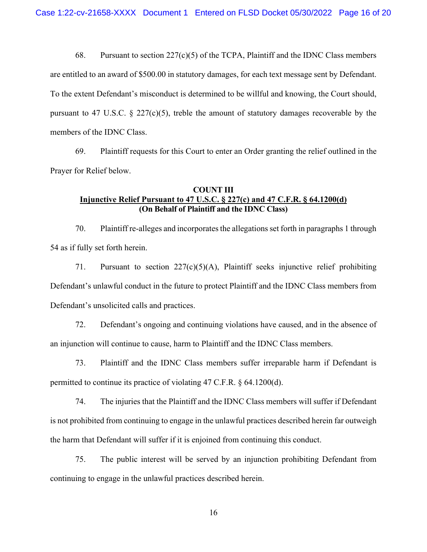68. Pursuant to section 227(c)(5) of the TCPA, Plaintiff and the IDNC Class members are entitled to an award of \$500.00 in statutory damages, for each text message sent by Defendant. To the extent Defendant's misconduct is determined to be willful and knowing, the Court should, pursuant to 47 U.S.C.  $\S$  227(c)(5), treble the amount of statutory damages recoverable by the members of the IDNC Class.

69. Plaintiff requests for this Court to enter an Order granting the relief outlined in the Prayer for Relief below.

# **COUNT III Injunctive Relief Pursuant to 47 U.S.C. § 227(c) and 47 C.F.R. § 64.1200(d) (On Behalf of Plaintiff and the IDNC Class)**

70. Plaintiff re-alleges and incorporates the allegations set forth in paragraphs 1 through 54 as if fully set forth herein.

71. Pursuant to section  $227(c)(5)(A)$ , Plaintiff seeks injunctive relief prohibiting Defendant's unlawful conduct in the future to protect Plaintiff and the IDNC Class members from Defendant's unsolicited calls and practices.

72. Defendant's ongoing and continuing violations have caused, and in the absence of an injunction will continue to cause, harm to Plaintiff and the IDNC Class members.

73. Plaintiff and the IDNC Class members suffer irreparable harm if Defendant is permitted to continue its practice of violating 47 C.F.R. § 64.1200(d).

74. The injuries that the Plaintiff and the IDNC Class members will suffer if Defendant is not prohibited from continuing to engage in the unlawful practices described herein far outweigh the harm that Defendant will suffer if it is enjoined from continuing this conduct.

75. The public interest will be served by an injunction prohibiting Defendant from continuing to engage in the unlawful practices described herein.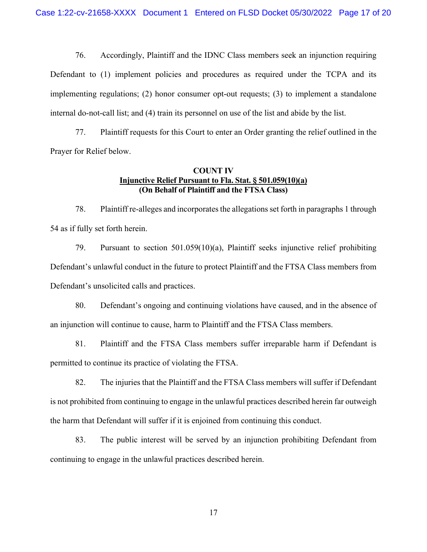76. Accordingly, Plaintiff and the IDNC Class members seek an injunction requiring Defendant to (1) implement policies and procedures as required under the TCPA and its implementing regulations; (2) honor consumer opt-out requests; (3) to implement a standalone internal do-not-call list; and (4) train its personnel on use of the list and abide by the list.

77. Plaintiff requests for this Court to enter an Order granting the relief outlined in the Prayer for Relief below.

# **COUNT IV Injunctive Relief Pursuant to Fla. Stat. § 501.059(10)(a) (On Behalf of Plaintiff and the FTSA Class)**

78. Plaintiff re-alleges and incorporates the allegations set forth in paragraphs 1 through 54 as if fully set forth herein.

79. Pursuant to section 501.059(10)(a), Plaintiff seeks injunctive relief prohibiting Defendant's unlawful conduct in the future to protect Plaintiff and the FTSA Class members from Defendant's unsolicited calls and practices.

80. Defendant's ongoing and continuing violations have caused, and in the absence of an injunction will continue to cause, harm to Plaintiff and the FTSA Class members.

81. Plaintiff and the FTSA Class members suffer irreparable harm if Defendant is permitted to continue its practice of violating the FTSA.

82. The injuries that the Plaintiff and the FTSA Class members will suffer if Defendant is not prohibited from continuing to engage in the unlawful practices described herein far outweigh the harm that Defendant will suffer if it is enjoined from continuing this conduct.

83. The public interest will be served by an injunction prohibiting Defendant from continuing to engage in the unlawful practices described herein.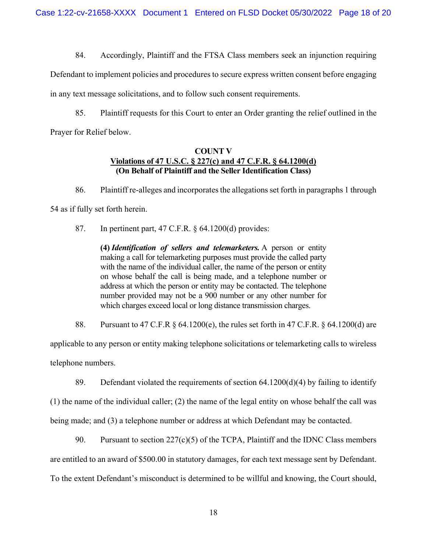84. Accordingly, Plaintiff and the FTSA Class members seek an injunction requiring

Defendant to implement policies and procedures to secure express written consent before engaging in any text message solicitations, and to follow such consent requirements.

85. Plaintiff requests for this Court to enter an Order granting the relief outlined in the Prayer for Relief below.

# **COUNT V Violations of 47 U.S.C. § 227(c) and 47 C.F.R. § 64.1200(d) (On Behalf of Plaintiff and the Seller Identification Class)**

86. Plaintiff re-alleges and incorporates the allegations set forth in paragraphs 1 through 54 as if fully set forth herein.

87. In pertinent part, 47 C.F.R. § 64.1200(d) provides:

**(4)** *Identification of sellers and telemarketers.* A person or entity making a call for telemarketing purposes must provide the called party with the name of the individual caller, the name of the person or entity on whose behalf the call is being made, and a telephone number or address at which the person or entity may be contacted. The telephone number provided may not be a 900 number or any other number for which charges exceed local or long distance transmission charges.

88. Pursuant to 47 C.F.R § 64.1200(e), the rules set forth in 47 C.F.R. § 64.1200(d) are

applicable to any person or entity making telephone solicitations or telemarketing calls to wireless telephone numbers.

89. Defendant violated the requirements of section  $64.1200(d)(4)$  by failing to identify

(1) the name of the individual caller; (2) the name of the legal entity on whose behalf the call was being made; and (3) a telephone number or address at which Defendant may be contacted.

90. Pursuant to section 227(c)(5) of the TCPA, Plaintiff and the IDNC Class members are entitled to an award of \$500.00 in statutory damages, for each text message sent by Defendant. To the extent Defendant's misconduct is determined to be willful and knowing, the Court should,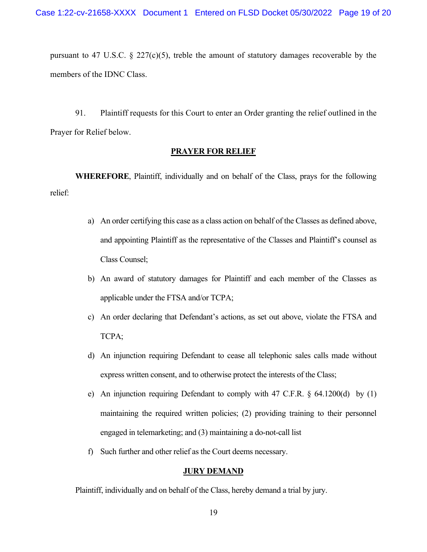pursuant to 47 U.S.C.  $\S$  227(c)(5), treble the amount of statutory damages recoverable by the members of the IDNC Class.

91. Plaintiff requests for this Court to enter an Order granting the relief outlined in the Prayer for Relief below.

### **PRAYER FOR RELIEF**

**WHEREFORE**, Plaintiff, individually and on behalf of the Class, prays for the following relief:

- a) An order certifying this case as a class action on behalf of the Classes as defined above, and appointing Plaintiff as the representative of the Classes and Plaintiff's counsel as Class Counsel;
- b) An award of statutory damages for Plaintiff and each member of the Classes as applicable under the FTSA and/or TCPA;
- c) An order declaring that Defendant's actions, as set out above, violate the FTSA and TCPA;
- d) An injunction requiring Defendant to cease all telephonic sales calls made without express written consent, and to otherwise protect the interests of the Class;
- e) An injunction requiring Defendant to comply with 47 C.F.R. § 64.1200(d) by (1) maintaining the required written policies; (2) providing training to their personnel engaged in telemarketing; and (3) maintaining a do-not-call list
- f) Such further and other relief as the Court deems necessary.

# **JURY DEMAND**

Plaintiff, individually and on behalf of the Class, hereby demand a trial by jury.